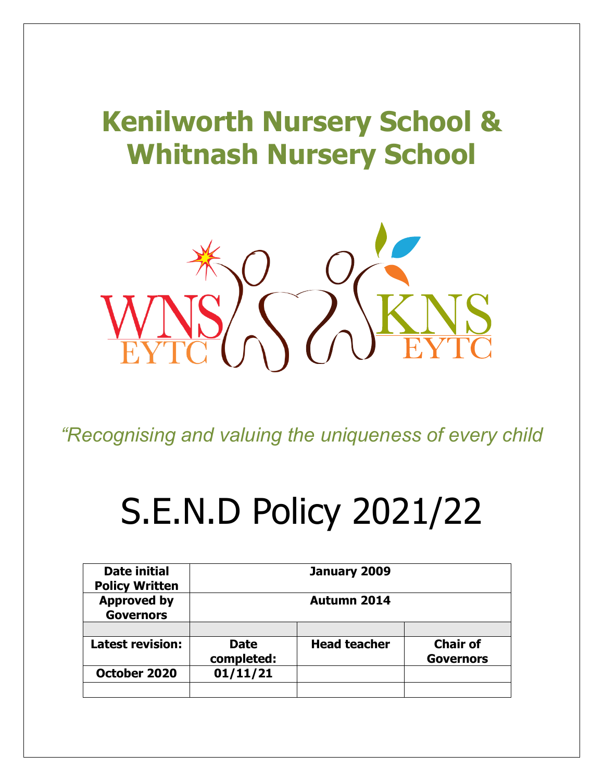# **Kenilworth Nursery School & Whitnash Nursery School**



*"Recognising and valuing the uniqueness of every child*

# S.E.N.D Policy 2021/22

| <b>Date initial</b><br><b>Policy Written</b> |                           | January 2009        |                                     |
|----------------------------------------------|---------------------------|---------------------|-------------------------------------|
| <b>Approved by</b><br><b>Governors</b>       | <b>Autumn 2014</b>        |                     |                                     |
|                                              |                           |                     |                                     |
| <b>Latest revision:</b>                      | <b>Date</b><br>completed: | <b>Head teacher</b> | <b>Chair of</b><br><b>Governors</b> |
| October 2020                                 | 01/11/21                  |                     |                                     |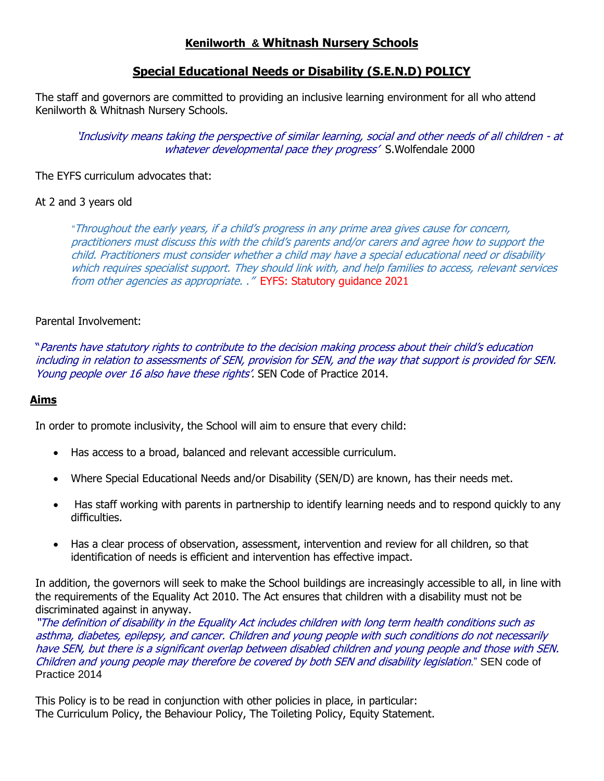# **Kenilworth & Whitnash Nursery Schools**

# **Special Educational Needs or Disability (S.E.N.D) POLICY**

The staff and governors are committed to providing an inclusive learning environment for all who attend Kenilworth & Whitnash Nursery Schools.

'Inclusivity means taking the perspective of similar learning, social and other needs of all children - at whatever developmental pace they progress' S. Wolfendale 2000

#### The EYFS curriculum advocates that:

#### At 2 and 3 years old

*"*Throughout the early years, if a child's progress in any prime area gives cause for concern, practitioners must discuss this with the child's parents and/or carers and agree how to support the child. Practitioners must consider whether a child may have a special educational need or disability which requires specialist support. They should link with, and help families to access, relevant services from other agencies as appropriate. ." EYFS: Statutory guidance 2021

#### Parental Involvement:

"Parents have statutory rights to contribute to the decision making process about their child's education including in relation to assessments of SEN, provision for SEN, and the way that support is provided for SEN. Young people over 16 also have these rights'. SEN Code of Practice 2014.

#### **Aims**

In order to promote inclusivity, the School will aim to ensure that every child:

- Has access to a broad, balanced and relevant accessible curriculum.
- Where Special Educational Needs and/or Disability (SEN/D) are known, has their needs met.
- Has staff working with parents in partnership to identify learning needs and to respond quickly to any difficulties.
- Has a clear process of observation, assessment, intervention and review for all children, so that identification of needs is efficient and intervention has effective impact.

In addition, the governors will seek to make the School buildings are increasingly accessible to all, in line with the requirements of the Equality Act 2010. The Act ensures that children with a disability must not be discriminated against in anyway.

"The definition of disability in the Equality Act includes children with long term health conditions such as asthma, diabetes, epilepsy, and cancer. Children and young people with such conditions do not necessarily have SEN, but there is a significant overlap between disabled children and young people and those with SEN. Children and young people may therefore be covered by both SEN and disability legislation." SEN code of Practice 2014

This Policy is to be read in conjunction with other policies in place, in particular: The Curriculum Policy, the Behaviour Policy, The Toileting Policy, Equity Statement.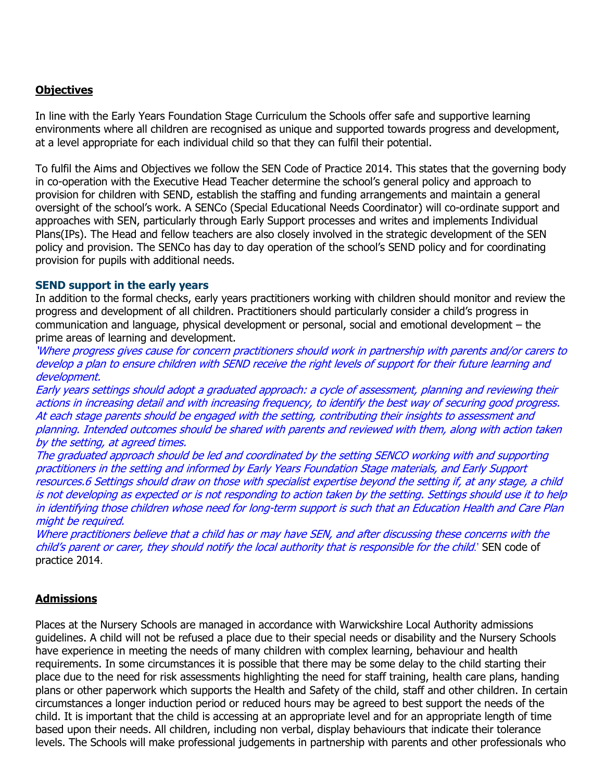# **Objectives**

In line with the Early Years Foundation Stage Curriculum the Schools offer safe and supportive learning environments where all children are recognised as unique and supported towards progress and development, at a level appropriate for each individual child so that they can fulfil their potential.

To fulfil the Aims and Objectives we follow the SEN Code of Practice 2014. This states that the governing body in co-operation with the Executive Head Teacher determine the school's general policy and approach to provision for children with SEND, establish the staffing and funding arrangements and maintain a general oversight of the school's work. A SENCo (Special Educational Needs Coordinator) will co-ordinate support and approaches with SEN, particularly through Early Support processes and writes and implements Individual Plans(IPs). The Head and fellow teachers are also closely involved in the strategic development of the SEN policy and provision. The SENCo has day to day operation of the school's SEND policy and for coordinating provision for pupils with additional needs.

#### **SEND support in the early years**

In addition to the formal checks, early years practitioners working with children should monitor and review the progress and development of all children. Practitioners should particularly consider a child's progress in communication and language, physical development or personal, social and emotional development – the prime areas of learning and development.

'Where progress gives cause for concern practitioners should work in partnership with parents and/or carers to develop a plan to ensure children with SEND receive the right levels of support for their future learning and development.

Early years settings should adopt a graduated approach: a cycle of assessment, planning and reviewing their actions in increasing detail and with increasing frequency, to identify the best way of securing good progress. At each stage parents should be engaged with the setting, contributing their insights to assessment and planning. Intended outcomes should be shared with parents and reviewed with them, along with action taken by the setting, at agreed times.

The graduated approach should be led and coordinated by the setting SENCO working with and supporting practitioners in the setting and informed by Early Years Foundation Stage materials, and Early Support resources.6 Settings should draw on those with specialist expertise beyond the setting if, at any stage, a child is not developing as expected or is not responding to action taken by the setting. Settings should use it to help in identifying those children whose need for long-term support is such that an Education Health and Care Plan might be required.

Where practitioners believe that a child has or may have SEN, and after discussing these concerns with the child's parent or carer, they should notify the local authority that is responsible for the child.' SEN code of practice 2014.

#### **Admissions**

Places at the Nursery Schools are managed in accordance with Warwickshire Local Authority admissions guidelines. A child will not be refused a place due to their special needs or disability and the Nursery Schools have experience in meeting the needs of many children with complex learning, behaviour and health requirements. In some circumstances it is possible that there may be some delay to the child starting their place due to the need for risk assessments highlighting the need for staff training, health care plans, handing plans or other paperwork which supports the Health and Safety of the child, staff and other children. In certain circumstances a longer induction period or reduced hours may be agreed to best support the needs of the child. It is important that the child is accessing at an appropriate level and for an appropriate length of time based upon their needs. All children, including non verbal, display behaviours that indicate their tolerance levels. The Schools will make professional judgements in partnership with parents and other professionals who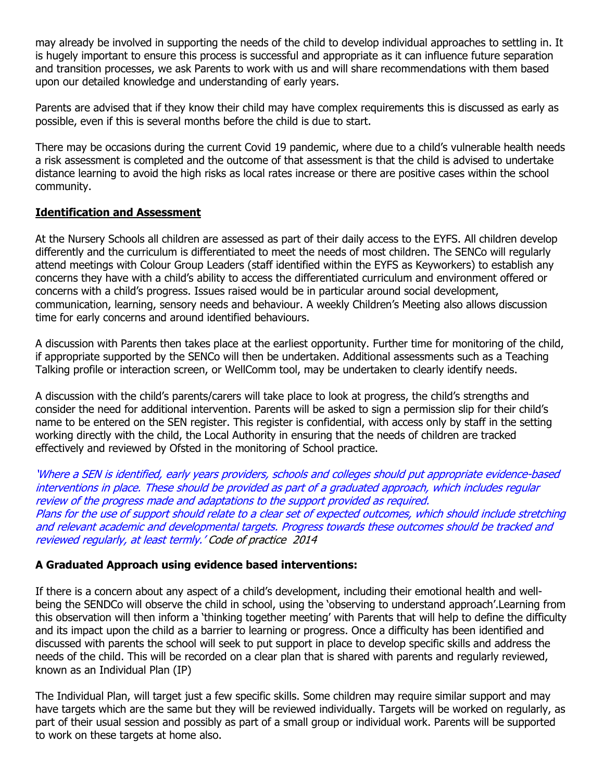may already be involved in supporting the needs of the child to develop individual approaches to settling in. It is hugely important to ensure this process is successful and appropriate as it can influence future separation and transition processes, we ask Parents to work with us and will share recommendations with them based upon our detailed knowledge and understanding of early years.

Parents are advised that if they know their child may have complex requirements this is discussed as early as possible, even if this is several months before the child is due to start.

There may be occasions during the current Covid 19 pandemic, where due to a child's vulnerable health needs a risk assessment is completed and the outcome of that assessment is that the child is advised to undertake distance learning to avoid the high risks as local rates increase or there are positive cases within the school community.

# **Identification and Assessment**

At the Nursery Schools all children are assessed as part of their daily access to the EYFS. All children develop differently and the curriculum is differentiated to meet the needs of most children. The SENCo will regularly attend meetings with Colour Group Leaders (staff identified within the EYFS as Keyworkers) to establish any concerns they have with a child's ability to access the differentiated curriculum and environment offered or concerns with a child's progress. Issues raised would be in particular around social development, communication, learning, sensory needs and behaviour. A weekly Children's Meeting also allows discussion time for early concerns and around identified behaviours.

A discussion with Parents then takes place at the earliest opportunity. Further time for monitoring of the child, if appropriate supported by the SENCo will then be undertaken. Additional assessments such as a Teaching Talking profile or interaction screen, or WellComm tool, may be undertaken to clearly identify needs.

A discussion with the child's parents/carers will take place to look at progress, the child's strengths and consider the need for additional intervention. Parents will be asked to sign a permission slip for their child's name to be entered on the SEN register. This register is confidential, with access only by staff in the setting working directly with the child, the Local Authority in ensuring that the needs of children are tracked effectively and reviewed by Ofsted in the monitoring of School practice.

'Where a SEN is identified, early years providers, schools and colleges should put appropriate evidence-based interventions in place. These should be provided as part of a graduated approach, which includes regular review of the progress made and adaptations to the support provided as required. Plans for the use of support should relate to a clear set of expected outcomes, which should include stretching and relevant academic and developmental targets. Progress towards these outcomes should be tracked and reviewed regularly, at least termly.' Code of practice 2014

# **A Graduated Approach using evidence based interventions:**

If there is a concern about any aspect of a child's development, including their emotional health and wellbeing the SENDCo will observe the child in school, using the 'observing to understand approach'.Learning from this observation will then inform a 'thinking together meeting' with Parents that will help to define the difficulty and its impact upon the child as a barrier to learning or progress. Once a difficulty has been identified and discussed with parents the school will seek to put support in place to develop specific skills and address the needs of the child. This will be recorded on a clear plan that is shared with parents and regularly reviewed, known as an Individual Plan (IP)

The Individual Plan, will target just a few specific skills. Some children may require similar support and may have targets which are the same but they will be reviewed individually. Targets will be worked on regularly, as part of their usual session and possibly as part of a small group or individual work. Parents will be supported to work on these targets at home also.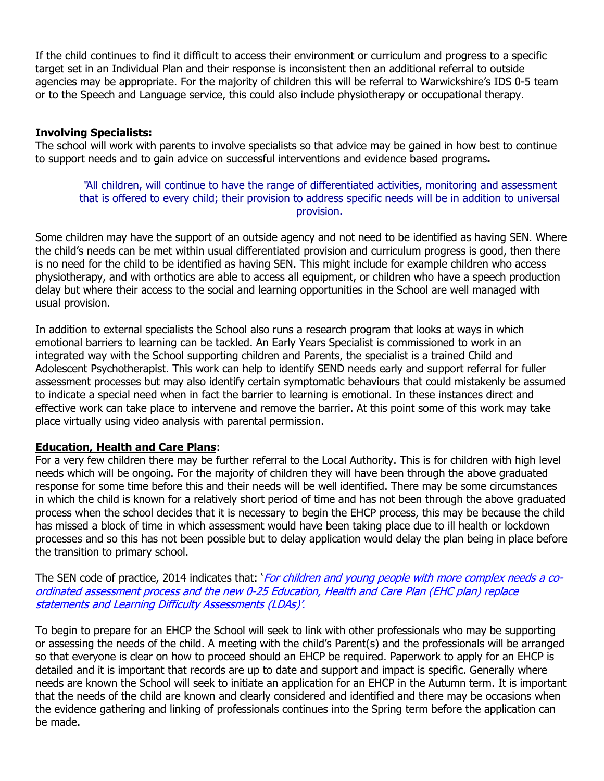If the child continues to find it difficult to access their environment or curriculum and progress to a specific target set in an Individual Plan and their response is inconsistent then an additional referral to outside agencies may be appropriate. For the majority of children this will be referral to Warwickshire's IDS 0-5 team or to the Speech and Language service, this could also include physiotherapy or occupational therapy.

# **Involving Specialists:**

The school will work with parents to involve specialists so that advice may be gained in how best to continue to support needs and to gain advice on successful interventions and evidence based programs**.**

#### "All children, will continue to have the range of differentiated activities, monitoring and assessment that is offered to every child; their provision to address specific needs will be in addition to universal provision.

Some children may have the support of an outside agency and not need to be identified as having SEN. Where the child's needs can be met within usual differentiated provision and curriculum progress is good, then there is no need for the child to be identified as having SEN. This might include for example children who access physiotherapy, and with orthotics are able to access all equipment, or children who have a speech production delay but where their access to the social and learning opportunities in the School are well managed with usual provision.

In addition to external specialists the School also runs a research program that looks at ways in which emotional barriers to learning can be tackled. An Early Years Specialist is commissioned to work in an integrated way with the School supporting children and Parents, the specialist is a trained Child and Adolescent Psychotherapist. This work can help to identify SEND needs early and support referral for fuller assessment processes but may also identify certain symptomatic behaviours that could mistakenly be assumed to indicate a special need when in fact the barrier to learning is emotional. In these instances direct and effective work can take place to intervene and remove the barrier. At this point some of this work may take place virtually using video analysis with parental permission.

#### **Education, Health and Care Plans**:

For a very few children there may be further referral to the Local Authority. This is for children with high level needs which will be ongoing. For the majority of children they will have been through the above graduated response for some time before this and their needs will be well identified. There may be some circumstances in which the child is known for a relatively short period of time and has not been through the above graduated process when the school decides that it is necessary to begin the EHCP process, this may be because the child has missed a block of time in which assessment would have been taking place due to ill health or lockdown processes and so this has not been possible but to delay application would delay the plan being in place before the transition to primary school.

The SEN code of practice, 2014 indicates that: '*For children and young people with more complex needs a co*ordinated assessment process and the new 0-25 Education, Health and Care Plan (EHC plan) replace statements and Learning Difficulty Assessments (LDAs)'.

To begin to prepare for an EHCP the School will seek to link with other professionals who may be supporting or assessing the needs of the child. A meeting with the child's Parent(s) and the professionals will be arranged so that everyone is clear on how to proceed should an EHCP be required. Paperwork to apply for an EHCP is detailed and it is important that records are up to date and support and impact is specific. Generally where needs are known the School will seek to initiate an application for an EHCP in the Autumn term. It is important that the needs of the child are known and clearly considered and identified and there may be occasions when the evidence gathering and linking of professionals continues into the Spring term before the application can be made.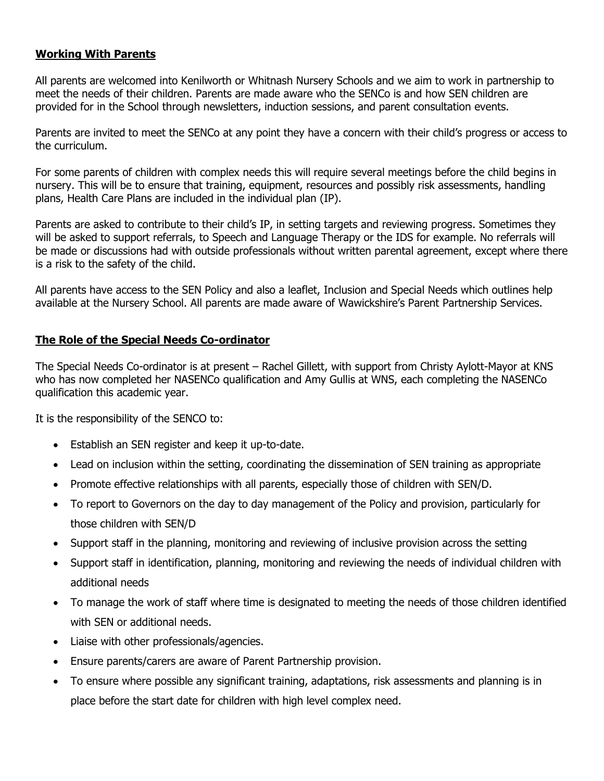# **Working With Parents**

All parents are welcomed into Kenilworth or Whitnash Nursery Schools and we aim to work in partnership to meet the needs of their children. Parents are made aware who the SENCo is and how SEN children are provided for in the School through newsletters, induction sessions, and parent consultation events.

Parents are invited to meet the SENCo at any point they have a concern with their child's progress or access to the curriculum.

For some parents of children with complex needs this will require several meetings before the child begins in nursery. This will be to ensure that training, equipment, resources and possibly risk assessments, handling plans, Health Care Plans are included in the individual plan (IP).

Parents are asked to contribute to their child's IP, in setting targets and reviewing progress. Sometimes they will be asked to support referrals, to Speech and Language Therapy or the IDS for example. No referrals will be made or discussions had with outside professionals without written parental agreement, except where there is a risk to the safety of the child.

All parents have access to the SEN Policy and also a leaflet, Inclusion and Special Needs which outlines help available at the Nursery School. All parents are made aware of Wawickshire's Parent Partnership Services.

#### **The Role of the Special Needs Co-ordinator**

The Special Needs Co-ordinator is at present – Rachel Gillett, with support from Christy Aylott-Mayor at KNS who has now completed her NASENCo qualification and Amy Gullis at WNS, each completing the NASENCo qualification this academic year.

It is the responsibility of the SENCO to:

- Establish an SEN register and keep it up-to-date.
- Lead on inclusion within the setting, coordinating the dissemination of SEN training as appropriate
- Promote effective relationships with all parents, especially those of children with SEN/D.
- To report to Governors on the day to day management of the Policy and provision, particularly for those children with SEN/D
- Support staff in the planning, monitoring and reviewing of inclusive provision across the setting
- Support staff in identification, planning, monitoring and reviewing the needs of individual children with additional needs
- To manage the work of staff where time is designated to meeting the needs of those children identified with SFN or additional needs.
- Liaise with other professionals/agencies.
- Ensure parents/carers are aware of Parent Partnership provision.
- To ensure where possible any significant training, adaptations, risk assessments and planning is in place before the start date for children with high level complex need.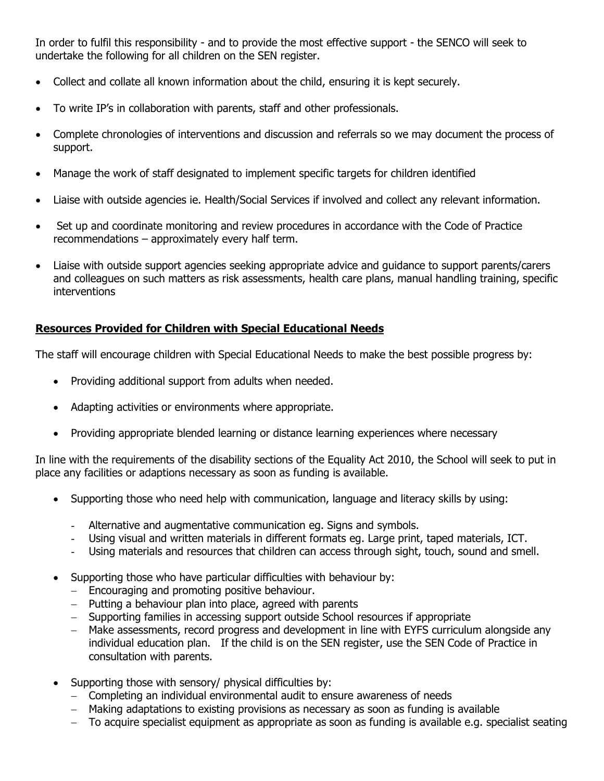In order to fulfil this responsibility - and to provide the most effective support - the SENCO will seek to undertake the following for all children on the SEN register.

- Collect and collate all known information about the child, ensuring it is kept securely.
- To write IP's in collaboration with parents, staff and other professionals.
- Complete chronologies of interventions and discussion and referrals so we may document the process of support.
- Manage the work of staff designated to implement specific targets for children identified
- Liaise with outside agencies ie. Health/Social Services if involved and collect any relevant information.
- Set up and coordinate monitoring and review procedures in accordance with the Code of Practice recommendations – approximately every half term.
- Liaise with outside support agencies seeking appropriate advice and guidance to support parents/carers and colleagues on such matters as risk assessments, health care plans, manual handling training, specific interventions

# **Resources Provided for Children with Special Educational Needs**

The staff will encourage children with Special Educational Needs to make the best possible progress by:

- Providing additional support from adults when needed.
- Adapting activities or environments where appropriate.
- Providing appropriate blended learning or distance learning experiences where necessary

In line with the requirements of the disability sections of the Equality Act 2010, the School will seek to put in place any facilities or adaptions necessary as soon as funding is available.

- Supporting those who need help with communication, language and literacy skills by using:
	- Alternative and augmentative communication eg. Signs and symbols.
	- Using visual and written materials in different formats eg. Large print, taped materials, ICT.
	- Using materials and resources that children can access through sight, touch, sound and smell.
- Supporting those who have particular difficulties with behaviour by:
	- $-$  Encouraging and promoting positive behaviour.
	- $-$  Putting a behaviour plan into place, agreed with parents
	- Supporting families in accessing support outside School resources if appropriate
	- Make assessments, record progress and development in line with EYFS curriculum alongside any individual education plan. If the child is on the SEN register, use the SEN Code of Practice in consultation with parents.
- Supporting those with sensory/ physical difficulties by:
	- Completing an individual environmental audit to ensure awareness of needs
	- Making adaptations to existing provisions as necessary as soon as funding is available
	- To acquire specialist equipment as appropriate as soon as funding is available e.g. specialist seating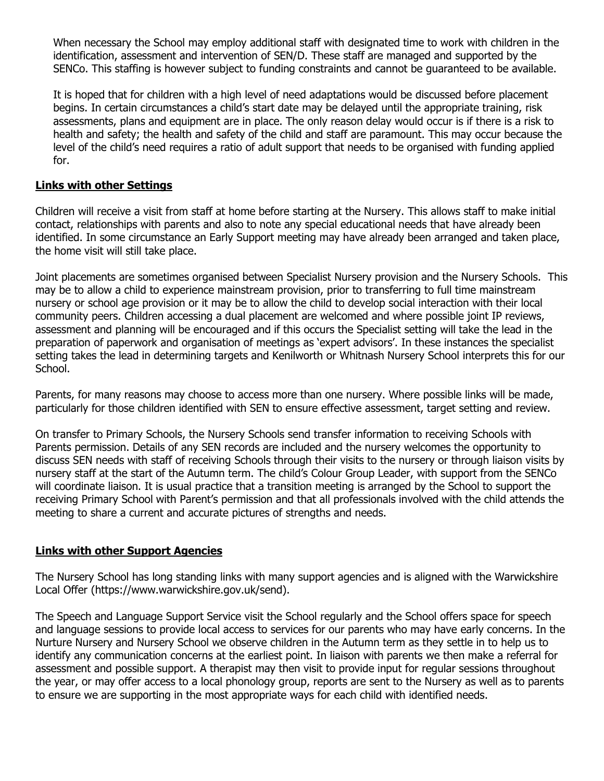When necessary the School may employ additional staff with designated time to work with children in the identification, assessment and intervention of SEN/D. These staff are managed and supported by the SENCo. This staffing is however subject to funding constraints and cannot be guaranteed to be available.

It is hoped that for children with a high level of need adaptations would be discussed before placement begins. In certain circumstances a child's start date may be delayed until the appropriate training, risk assessments, plans and equipment are in place. The only reason delay would occur is if there is a risk to health and safety; the health and safety of the child and staff are paramount. This may occur because the level of the child's need requires a ratio of adult support that needs to be organised with funding applied for.

# **Links with other Settings**

Children will receive a visit from staff at home before starting at the Nursery. This allows staff to make initial contact, relationships with parents and also to note any special educational needs that have already been identified. In some circumstance an Early Support meeting may have already been arranged and taken place, the home visit will still take place.

Joint placements are sometimes organised between Specialist Nursery provision and the Nursery Schools. This may be to allow a child to experience mainstream provision, prior to transferring to full time mainstream nursery or school age provision or it may be to allow the child to develop social interaction with their local community peers. Children accessing a dual placement are welcomed and where possible joint IP reviews, assessment and planning will be encouraged and if this occurs the Specialist setting will take the lead in the preparation of paperwork and organisation of meetings as 'expert advisors'. In these instances the specialist setting takes the lead in determining targets and Kenilworth or Whitnash Nursery School interprets this for our School.

Parents, for many reasons may choose to access more than one nursery. Where possible links will be made, particularly for those children identified with SEN to ensure effective assessment, target setting and review.

On transfer to Primary Schools, the Nursery Schools send transfer information to receiving Schools with Parents permission. Details of any SEN records are included and the nursery welcomes the opportunity to discuss SEN needs with staff of receiving Schools through their visits to the nursery or through liaison visits by nursery staff at the start of the Autumn term. The child's Colour Group Leader, with support from the SENCo will coordinate liaison. It is usual practice that a transition meeting is arranged by the School to support the receiving Primary School with Parent's permission and that all professionals involved with the child attends the meeting to share a current and accurate pictures of strengths and needs.

#### **Links with other Support Agencies**

The Nursery School has long standing links with many support agencies and is aligned with the Warwickshire Local Offer (https://www.warwickshire.gov.uk/send).

The Speech and Language Support Service visit the School regularly and the School offers space for speech and language sessions to provide local access to services for our parents who may have early concerns. In the Nurture Nursery and Nursery School we observe children in the Autumn term as they settle in to help us to identify any communication concerns at the earliest point. In liaison with parents we then make a referral for assessment and possible support. A therapist may then visit to provide input for regular sessions throughout the year, or may offer access to a local phonology group, reports are sent to the Nursery as well as to parents to ensure we are supporting in the most appropriate ways for each child with identified needs.